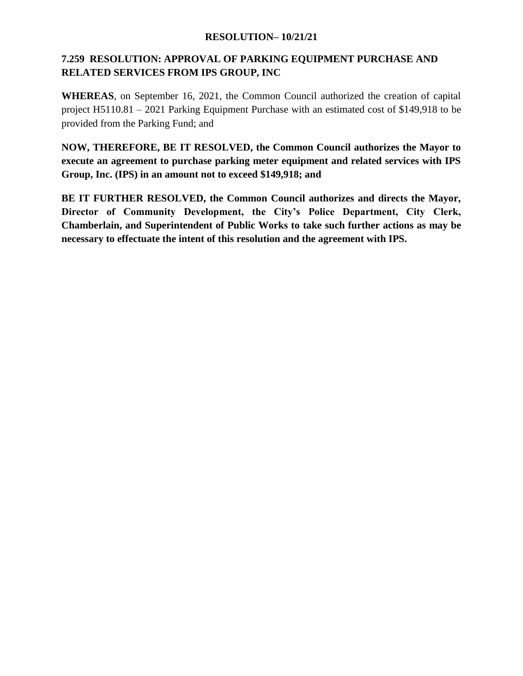# **7.259 RESOLUTION: APPROVAL OF PARKING EQUIPMENT PURCHASE AND RELATED SERVICES FROM IPS GROUP, INC**

**WHEREAS**, on September 16, 2021, the Common Council authorized the creation of capital project H5110.81 – 2021 Parking Equipment Purchase with an estimated cost of \$149,918 to be provided from the Parking Fund; and

**NOW, THEREFORE, BE IT RESOLVED, the Common Council authorizes the Mayor to execute an agreement to purchase parking meter equipment and related services with IPS Group, Inc. (IPS) in an amount not to exceed \$149,918; and**

**BE IT FURTHER RESOLVED, the Common Council authorizes and directs the Mayor, Director of Community Development, the City's Police Department, City Clerk, Chamberlain, and Superintendent of Public Works to take such further actions as may be necessary to effectuate the intent of this resolution and the agreement with IPS.**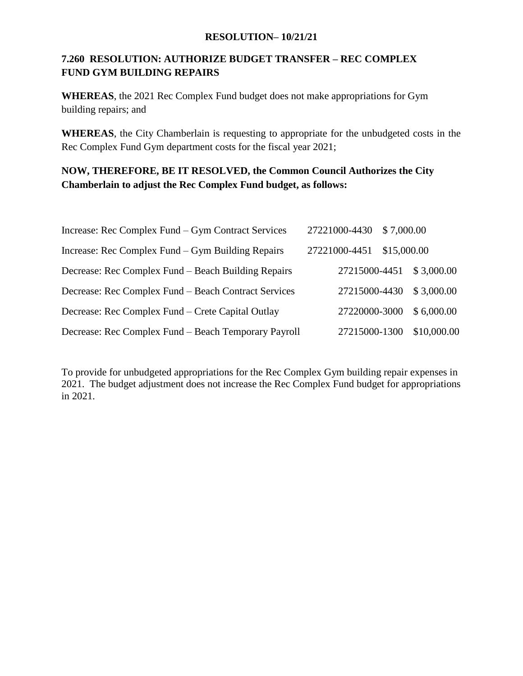# **7.260 RESOLUTION: AUTHORIZE BUDGET TRANSFER – REC COMPLEX FUND GYM BUILDING REPAIRS**

**WHEREAS**, the 2021 Rec Complex Fund budget does not make appropriations for Gym building repairs; and

**WHEREAS**, the City Chamberlain is requesting to appropriate for the unbudgeted costs in the Rec Complex Fund Gym department costs for the fiscal year 2021;

# **NOW, THEREFORE, BE IT RESOLVED, the Common Council Authorizes the City Chamberlain to adjust the Rec Complex Fund budget, as follows:**

| Increase: Rec Complex Fund – Gym Contract Services   | 27221000-4430 | \$7,000.00  |             |
|------------------------------------------------------|---------------|-------------|-------------|
| Increase: Rec Complex Fund – Gym Building Repairs    | 27221000-4451 | \$15,000.00 |             |
| Decrease: Rec Complex Fund – Beach Building Repairs  | 27215000-4451 |             | \$3,000.00  |
| Decrease: Rec Complex Fund - Beach Contract Services | 27215000-4430 |             | \$3,000.00  |
| Decrease: Rec Complex Fund – Crete Capital Outlay    | 27220000-3000 |             | \$6,000.00  |
| Decrease: Rec Complex Fund – Beach Temporary Payroll | 27215000-1300 |             | \$10,000.00 |

To provide for unbudgeted appropriations for the Rec Complex Gym building repair expenses in 2021. The budget adjustment does not increase the Rec Complex Fund budget for appropriations in 2021.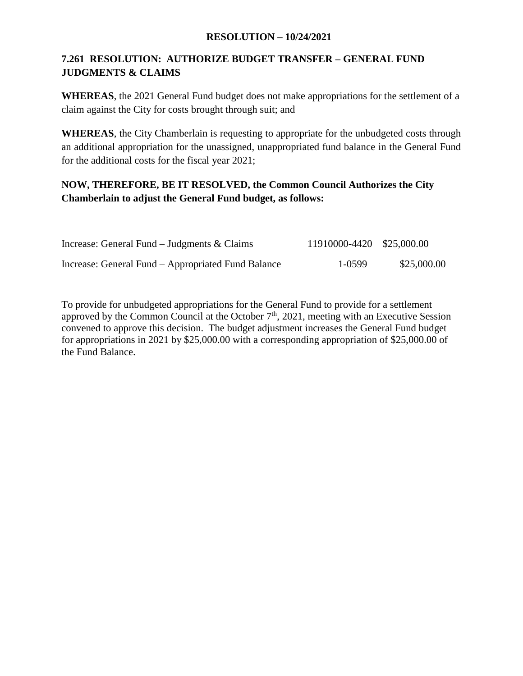# **7.261 RESOLUTION: AUTHORIZE BUDGET TRANSFER – GENERAL FUND JUDGMENTS & CLAIMS**

**WHEREAS**, the 2021 General Fund budget does not make appropriations for the settlement of a claim against the City for costs brought through suit; and

**WHEREAS**, the City Chamberlain is requesting to appropriate for the unbudgeted costs through an additional appropriation for the unassigned, unappropriated fund balance in the General Fund for the additional costs for the fiscal year 2021;

# **NOW, THEREFORE, BE IT RESOLVED, the Common Council Authorizes the City Chamberlain to adjust the General Fund budget, as follows:**

| Increase: General Fund $-$ Judgments & Claims      | 11910000-4420 \$25,000.00 |             |
|----------------------------------------------------|---------------------------|-------------|
| Increase: General Fund – Appropriated Fund Balance | 1-0599                    | \$25,000.00 |

To provide for unbudgeted appropriations for the General Fund to provide for a settlement approved by the Common Council at the October  $7<sup>th</sup>$ , 2021, meeting with an Executive Session convened to approve this decision. The budget adjustment increases the General Fund budget for appropriations in 2021 by \$25,000.00 with a corresponding appropriation of \$25,000.00 of the Fund Balance.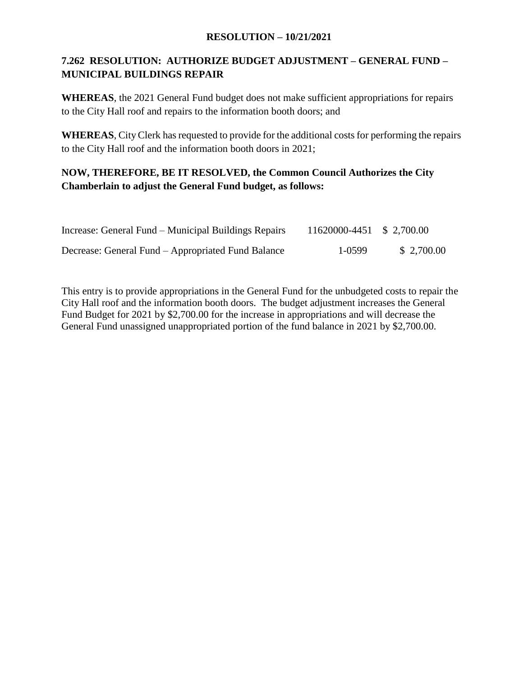# **7.262 RESOLUTION: AUTHORIZE BUDGET ADJUSTMENT – GENERAL FUND – MUNICIPAL BUILDINGS REPAIR**

**WHEREAS**, the 2021 General Fund budget does not make sufficient appropriations for repairs to the City Hall roof and repairs to the information booth doors; and

**WHEREAS**, City Clerk has requested to provide for the additional costs for performing the repairs to the City Hall roof and the information booth doors in 2021;

# **NOW, THEREFORE, BE IT RESOLVED, the Common Council Authorizes the City Chamberlain to adjust the General Fund budget, as follows:**

| Increase: General Fund – Municipal Buildings Repairs | 11620000-4451 \$ 2,700.00 |            |
|------------------------------------------------------|---------------------------|------------|
| Decrease: General Fund – Appropriated Fund Balance   | 1-0599                    | \$2,700.00 |

This entry is to provide appropriations in the General Fund for the unbudgeted costs to repair the City Hall roof and the information booth doors. The budget adjustment increases the General Fund Budget for 2021 by \$2,700.00 for the increase in appropriations and will decrease the General Fund unassigned unappropriated portion of the fund balance in 2021 by \$2,700.00.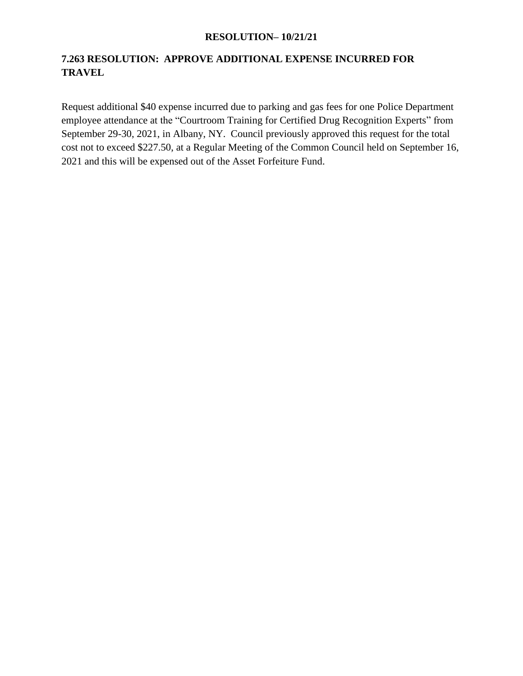# **7.263 RESOLUTION: APPROVE ADDITIONAL EXPENSE INCURRED FOR TRAVEL**

Request additional \$40 expense incurred due to parking and gas fees for one Police Department employee attendance at the "Courtroom Training for Certified Drug Recognition Experts" from September 29-30, 2021, in Albany, NY. Council previously approved this request for the total cost not to exceed \$227.50, at a Regular Meeting of the Common Council held on September 16, 2021 and this will be expensed out of the Asset Forfeiture Fund.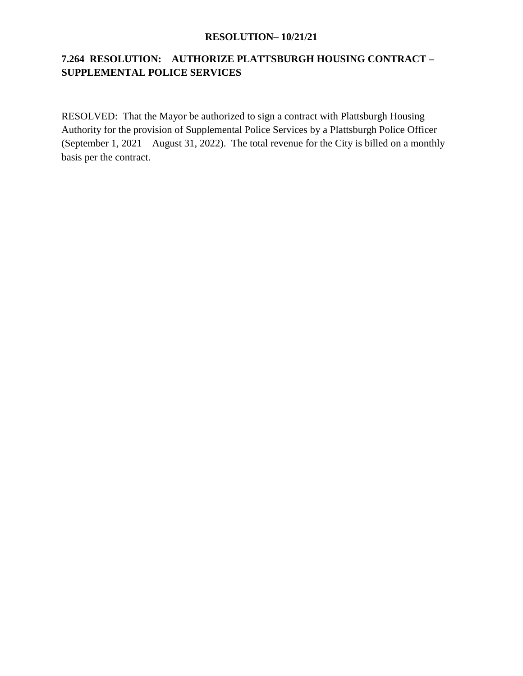# **7.264 RESOLUTION: AUTHORIZE PLATTSBURGH HOUSING CONTRACT – SUPPLEMENTAL POLICE SERVICES**

RESOLVED: That the Mayor be authorized to sign a contract with Plattsburgh Housing Authority for the provision of Supplemental Police Services by a Plattsburgh Police Officer (September 1, 2021 – August 31, 2022). The total revenue for the City is billed on a monthly basis per the contract.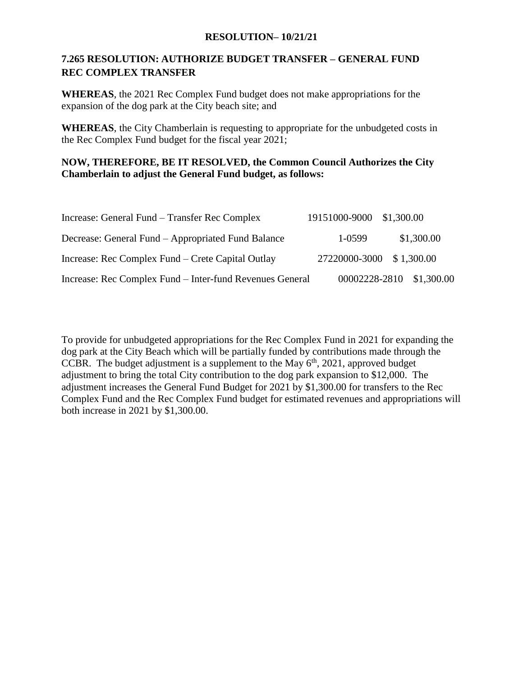# **7.265 RESOLUTION: AUTHORIZE BUDGET TRANSFER – GENERAL FUND REC COMPLEX TRANSFER**

**WHEREAS**, the 2021 Rec Complex Fund budget does not make appropriations for the expansion of the dog park at the City beach site; and

**WHEREAS**, the City Chamberlain is requesting to appropriate for the unbudgeted costs in the Rec Complex Fund budget for the fiscal year 2021;

## **NOW, THEREFORE, BE IT RESOLVED, the Common Council Authorizes the City Chamberlain to adjust the General Fund budget, as follows:**

| Increase: General Fund – Transfer Rec Complex            | 19151000-9000 \$1,300.00 |                          |
|----------------------------------------------------------|--------------------------|--------------------------|
| Decrease: General Fund – Appropriated Fund Balance       | $1 - 0.599$              | \$1,300.00               |
| Increase: Rec Complex Fund – Crete Capital Outlay        | 27220000-3000 \$1,300.00 |                          |
| Increase: Rec Complex Fund – Inter-fund Revenues General |                          | 00002228-2810 \$1,300.00 |

To provide for unbudgeted appropriations for the Rec Complex Fund in 2021 for expanding the dog park at the City Beach which will be partially funded by contributions made through the CCBR. The budget adjustment is a supplement to the May  $6<sup>th</sup>$ , 2021, approved budget adjustment to bring the total City contribution to the dog park expansion to \$12,000. The adjustment increases the General Fund Budget for 2021 by \$1,300.00 for transfers to the Rec Complex Fund and the Rec Complex Fund budget for estimated revenues and appropriations will both increase in 2021 by \$1,300.00.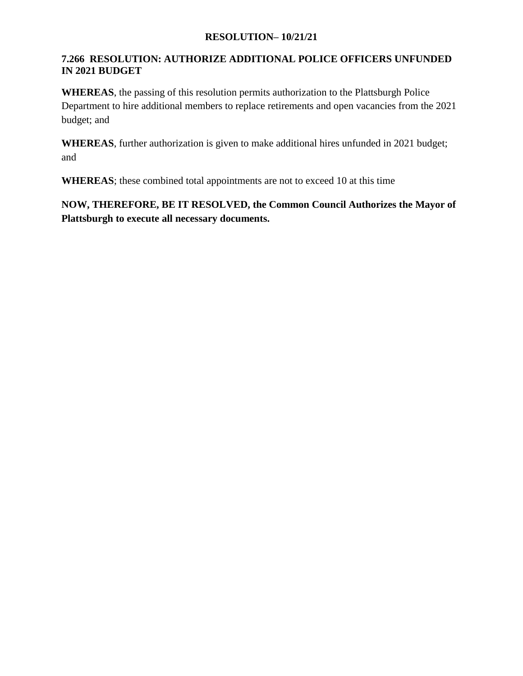# **7.266 RESOLUTION: AUTHORIZE ADDITIONAL POLICE OFFICERS UNFUNDED IN 2021 BUDGET**

**WHEREAS**, the passing of this resolution permits authorization to the Plattsburgh Police Department to hire additional members to replace retirements and open vacancies from the 2021 budget; and

**WHEREAS**, further authorization is given to make additional hires unfunded in 2021 budget; and

**WHEREAS**; these combined total appointments are not to exceed 10 at this time

**NOW, THEREFORE, BE IT RESOLVED, the Common Council Authorizes the Mayor of Plattsburgh to execute all necessary documents.**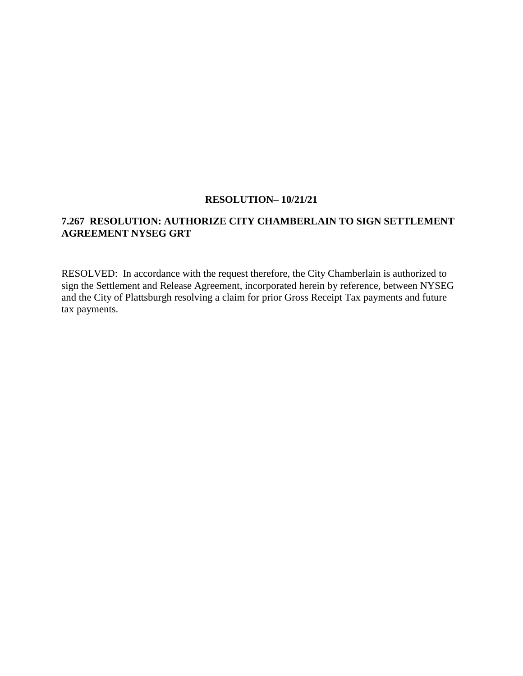# **7.267 RESOLUTION: AUTHORIZE CITY CHAMBERLAIN TO SIGN SETTLEMENT AGREEMENT NYSEG GRT**

RESOLVED: In accordance with the request therefore, the City Chamberlain is authorized to sign the Settlement and Release Agreement, incorporated herein by reference, between NYSEG and the City of Plattsburgh resolving a claim for prior Gross Receipt Tax payments and future tax payments.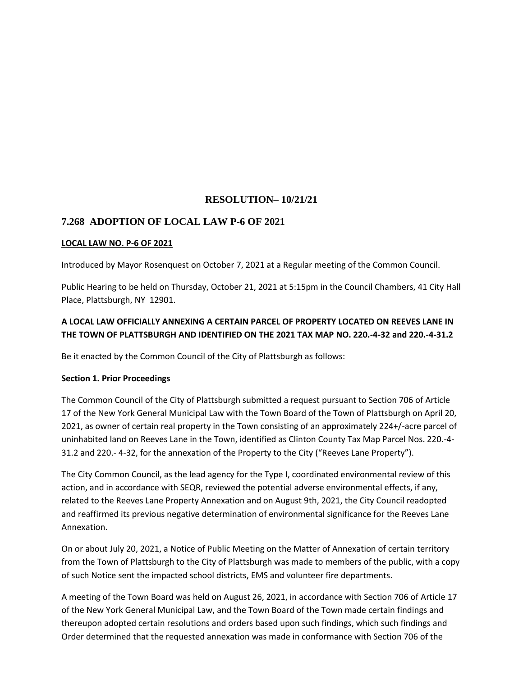## **7.268 ADOPTION OF LOCAL LAW P-6 OF 2021**

### **LOCAL LAW NO. P-6 OF 2021**

Introduced by Mayor Rosenquest on October 7, 2021 at a Regular meeting of the Common Council.

Public Hearing to be held on Thursday, October 21, 2021 at 5:15pm in the Council Chambers, 41 City Hall Place, Plattsburgh, NY 12901.

# **A LOCAL LAW OFFICIALLY ANNEXING A CERTAIN PARCEL OF PROPERTY LOCATED ON REEVES LANE IN THE TOWN OF PLATTSBURGH AND IDENTIFIED ON THE 2021 TAX MAP NO. 220.-4-32 and 220.-4-31.2**

Be it enacted by the Common Council of the City of Plattsburgh as follows:

### **Section 1. Prior Proceedings**

The Common Council of the City of Plattsburgh submitted a request pursuant to Section 706 of Article 17 of the New York General Municipal Law with the Town Board of the Town of Plattsburgh on April 20, 2021, as owner of certain real property in the Town consisting of an approximately 224+/-acre parcel of uninhabited land on Reeves Lane in the Town, identified as Clinton County Tax Map Parcel Nos. 220.-4- 31.2 and 220.- 4-32, for the annexation of the Property to the City ("Reeves Lane Property").

The City Common Council, as the lead agency for the Type I, coordinated environmental review of this action, and in accordance with SEQR, reviewed the potential adverse environmental effects, if any, related to the Reeves Lane Property Annexation and on August 9th, 2021, the City Council readopted and reaffirmed its previous negative determination of environmental significance for the Reeves Lane Annexation.

On or about July 20, 2021, a Notice of Public Meeting on the Matter of Annexation of certain territory from the Town of Plattsburgh to the City of Plattsburgh was made to members of the public, with a copy of such Notice sent the impacted school districts, EMS and volunteer fire departments.

A meeting of the Town Board was held on August 26, 2021, in accordance with Section 706 of Article 17 of the New York General Municipal Law, and the Town Board of the Town made certain findings and thereupon adopted certain resolutions and orders based upon such findings, which such findings and Order determined that the requested annexation was made in conformance with Section 706 of the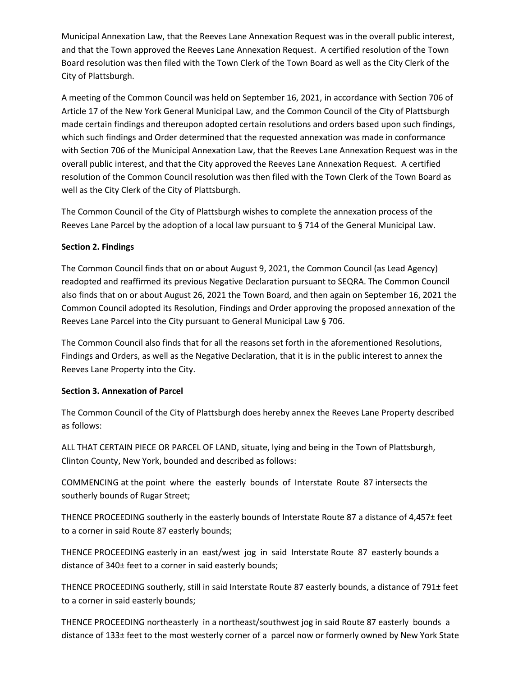Municipal Annexation Law, that the Reeves Lane Annexation Request was in the overall public interest, and that the Town approved the Reeves Lane Annexation Request. A certified resolution of the Town Board resolution was then filed with the Town Clerk of the Town Board as well as the City Clerk of the City of Plattsburgh.

A meeting of the Common Council was held on September 16, 2021, in accordance with Section 706 of Article 17 of the New York General Municipal Law, and the Common Council of the City of Plattsburgh made certain findings and thereupon adopted certain resolutions and orders based upon such findings, which such findings and Order determined that the requested annexation was made in conformance with Section 706 of the Municipal Annexation Law, that the Reeves Lane Annexation Request was in the overall public interest, and that the City approved the Reeves Lane Annexation Request. A certified resolution of the Common Council resolution was then filed with the Town Clerk of the Town Board as well as the City Clerk of the City of Plattsburgh.

The Common Council of the City of Plattsburgh wishes to complete the annexation process of the Reeves Lane Parcel by the adoption of a local law pursuant to § 714 of the General Municipal Law.

### **Section 2. Findings**

The Common Council finds that on or about August 9, 2021, the Common Council (as Lead Agency) readopted and reaffirmed its previous Negative Declaration pursuant to SEQRA. The Common Council also finds that on or about August 26, 2021 the Town Board, and then again on September 16, 2021 the Common Council adopted its Resolution, Findings and Order approving the proposed annexation of the Reeves Lane Parcel into the City pursuant to General Municipal Law § 706.

The Common Council also finds that for all the reasons set forth in the aforementioned Resolutions, Findings and Orders, as well as the Negative Declaration, that it is in the public interest to annex the Reeves Lane Property into the City.

### **Section 3. Annexation of Parcel**

The Common Council of the City of Plattsburgh does hereby annex the Reeves Lane Property described as follows:

ALL THAT CERTAIN PIECE OR PARCEL OF LAND, situate, lying and being in the Town of Plattsburgh, Clinton County, New York, bounded and described as follows:

COMMENCING at the point where the easterly bounds of Interstate Route 87 intersects the southerly bounds of Rugar Street;

THENCE PROCEEDING southerly in the easterly bounds of Interstate Route 87 a distance of 4,457± feet to a corner in said Route 87 easterly bounds;

THENCE PROCEEDING easterly in an east/west jog in said Interstate Route 87 easterly bounds a distance of 340± feet to a corner in said easterly bounds;

THENCE PROCEEDING southerly, still in said Interstate Route 87 easterly bounds, a distance of 791± feet to a corner in said easterly bounds;

THENCE PROCEEDING northeasterly in a northeast/southwest jog in said Route 87 easterly bounds a distance of 133± feet to the most westerly corner of a parcel now or formerly owned by New York State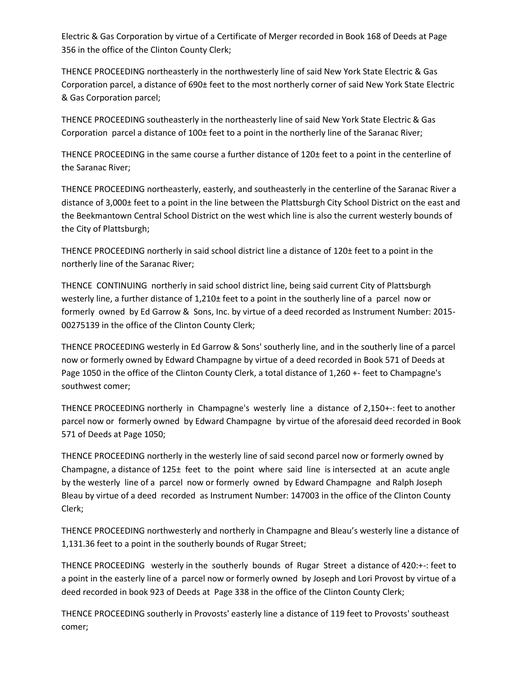Electric & Gas Corporation by virtue of a Certificate of Merger recorded in Book 168 of Deeds at Page 356 in the office of the Clinton County Clerk;

THENCE PROCEEDING northeasterly in the northwesterly line of said New York State Electric & Gas Corporation parcel, a distance of 690± feet to the most northerly corner of said New York State Electric & Gas Corporation parcel;

THENCE PROCEEDING southeasterly in the northeasterly line of said New York State Electric & Gas Corporation parcel a distance of 100± feet to a point in the northerly line of the Saranac River;

THENCE PROCEEDING in the same course a further distance of 120± feet to a point in the centerline of the Saranac River;

THENCE PROCEEDING northeasterly, easterly, and southeasterly in the centerline of the Saranac River a distance of 3,000± feet to a point in the line between the Plattsburgh City School District on the east and the Beekmantown Central School District on the west which line is also the current westerly bounds of the City of Plattsburgh;

THENCE PROCEEDING northerly in said school district line a distance of 120± feet to a point in the northerly line of the Saranac River;

THENCE CONTINUING northerly in said school district line, being said current City of Plattsburgh westerly line, a further distance of 1,210± feet to a point in the southerly line of a parcel now or formerly owned by Ed Garrow & Sons, Inc. by virtue of a deed recorded as Instrument Number: 2015- 00275139 in the office of the Clinton County Clerk;

THENCE PROCEEDING westerly in Ed Garrow & Sons' southerly line, and in the southerly line of a parcel now or formerly owned by Edward Champagne by virtue of a deed recorded in Book 571 of Deeds at Page 1050 in the office of the Clinton County Clerk, a total distance of 1,260 +- feet to Champagne's southwest comer;

THENCE PROCEEDING northerly in Champagne's westerly line a distance of 2,150+-: feet to another parcel now or formerly owned by Edward Champagne by virtue of the aforesaid deed recorded in Book 571 of Deeds at Page 1050;

THENCE PROCEEDING northerly in the westerly line of said second parcel now or formerly owned by Champagne, a distance of 125± feet to the point where said line is intersected at an acute angle by the westerly line of a parcel now or formerly owned by Edward Champagne and Ralph Joseph Bleau by virtue of a deed recorded as Instrument Number: 147003 in the office of the Clinton County Clerk;

THENCE PROCEEDING northwesterly and northerly in Champagne and Bleau's westerly line a distance of 1,131.36 feet to a point in the southerly bounds of Rugar Street;

THENCE PROCEEDING westerly in the southerly bounds of Rugar Street a distance of 420:+-: feet to a point in the easterly line of a parcel now or formerly owned by Joseph and Lori Provost by virtue of a deed recorded in book 923 of Deeds at Page 338 in the office of the Clinton County Clerk;

THENCE PROCEEDING southerly in Provosts' easterly line a distance of 119 feet to Provosts' southeast comer;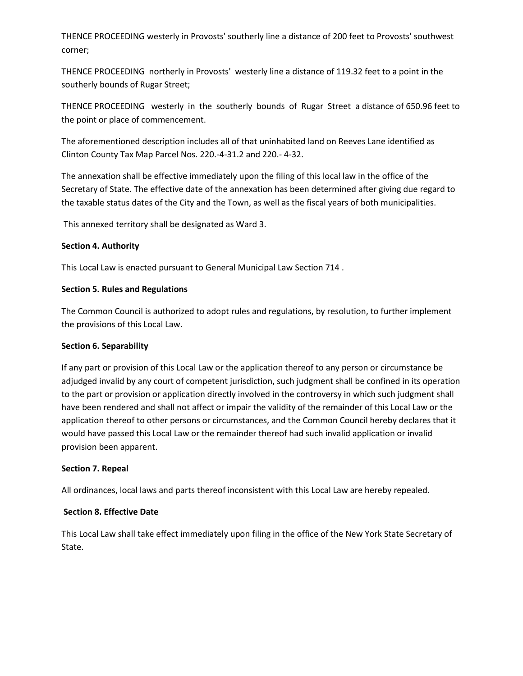THENCE PROCEEDING westerly in Provosts' southerly line a distance of 200 feet to Provosts' southwest corner;

THENCE PROCEEDING northerly in Provosts' westerly line a distance of 119.32 feet to a point in the southerly bounds of Rugar Street;

THENCE PROCEEDING westerly in the southerly bounds of Rugar Street a distance of 650.96 feet to the point or place of commencement.

The aforementioned description includes all of that uninhabited land on Reeves Lane identified as Clinton County Tax Map Parcel Nos. 220.-4-31.2 and 220.- 4-32.

The annexation shall be effective immediately upon the filing of this local law in the office of the Secretary of State. The effective date of the annexation has been determined after giving due regard to the taxable status dates of the City and the Town, as well as the fiscal years of both municipalities.

This annexed territory shall be designated as Ward 3.

### **Section 4. Authority**

This Local Law is enacted pursuant to General Municipal Law Section 714 .

### **Section 5. Rules and Regulations**

The Common Council is authorized to adopt rules and regulations, by resolution, to further implement the provisions of this Local Law.

### **Section 6. Separability**

If any part or provision of this Local Law or the application thereof to any person or circumstance be adjudged invalid by any court of competent jurisdiction, such judgment shall be confined in its operation to the part or provision or application directly involved in the controversy in which such judgment shall have been rendered and shall not affect or impair the validity of the remainder of this Local Law or the application thereof to other persons or circumstances, and the Common Council hereby declares that it would have passed this Local Law or the remainder thereof had such invalid application or invalid provision been apparent.

### **Section 7. Repeal**

All ordinances, local laws and parts thereof inconsistent with this Local Law are hereby repealed.

### **Section 8. Effective Date**

This Local Law shall take effect immediately upon filing in the office of the New York State Secretary of State.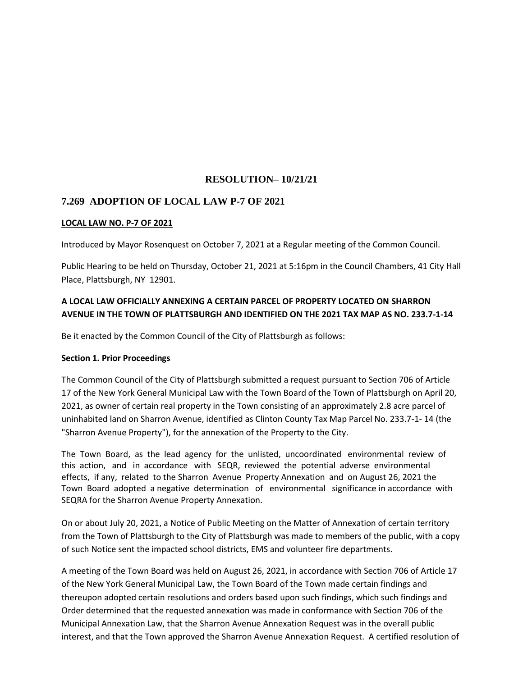### **7.269 ADOPTION OF LOCAL LAW P-7 OF 2021**

#### **LOCAL LAW NO. P-7 OF 2021**

Introduced by Mayor Rosenquest on October 7, 2021 at a Regular meeting of the Common Council.

Public Hearing to be held on Thursday, October 21, 2021 at 5:16pm in the Council Chambers, 41 City Hall Place, Plattsburgh, NY 12901.

### **A LOCAL LAW OFFICIALLY ANNEXING A CERTAIN PARCEL OF PROPERTY LOCATED ON SHARRON AVENUE IN THE TOWN OF PLATTSBURGH AND IDENTIFIED ON THE 2021 TAX MAP AS NO. 233.7-1-14**

Be it enacted by the Common Council of the City of Plattsburgh as follows:

#### **Section 1. Prior Proceedings**

The Common Council of the City of Plattsburgh submitted a request pursuant to Section 706 of Article 17 of the New York General Municipal Law with the Town Board of the Town of Plattsburgh on April 20, 2021, as owner of certain real property in the Town consisting of an approximately 2.8 acre parcel of uninhabited land on Sharron Avenue, identified as Clinton County Tax Map Parcel No. 233.7-1- 14 (the "Sharron Avenue Property"), for the annexation of the Property to the City.

The Town Board, as the lead agency for the unlisted, uncoordinated environmental review of this action, and in accordance with SEQR, reviewed the potential adverse environmental effects, if any, related to the Sharron Avenue Property Annexation and on August 26, 2021 the Town Board adopted a negative determination of environmental significance in accordance with SEQRA for the Sharron Avenue Property Annexation.

On or about July 20, 2021, a Notice of Public Meeting on the Matter of Annexation of certain territory from the Town of Plattsburgh to the City of Plattsburgh was made to members of the public, with a copy of such Notice sent the impacted school districts, EMS and volunteer fire departments.

A meeting of the Town Board was held on August 26, 2021, in accordance with Section 706 of Article 17 of the New York General Municipal Law, the Town Board of the Town made certain findings and thereupon adopted certain resolutions and orders based upon such findings, which such findings and Order determined that the requested annexation was made in conformance with Section 706 of the Municipal Annexation Law, that the Sharron Avenue Annexation Request was in the overall public interest, and that the Town approved the Sharron Avenue Annexation Request. A certified resolution of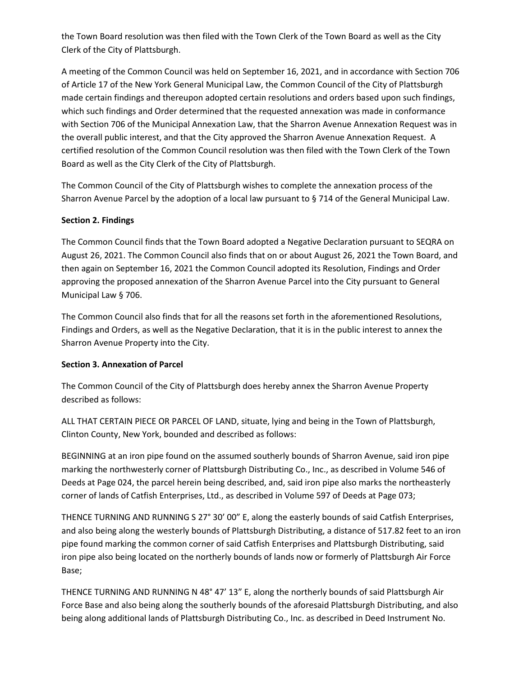the Town Board resolution was then filed with the Town Clerk of the Town Board as well as the City Clerk of the City of Plattsburgh.

A meeting of the Common Council was held on September 16, 2021, and in accordance with Section 706 of Article 17 of the New York General Municipal Law, the Common Council of the City of Plattsburgh made certain findings and thereupon adopted certain resolutions and orders based upon such findings, which such findings and Order determined that the requested annexation was made in conformance with Section 706 of the Municipal Annexation Law, that the Sharron Avenue Annexation Request was in the overall public interest, and that the City approved the Sharron Avenue Annexation Request. A certified resolution of the Common Council resolution was then filed with the Town Clerk of the Town Board as well as the City Clerk of the City of Plattsburgh.

The Common Council of the City of Plattsburgh wishes to complete the annexation process of the Sharron Avenue Parcel by the adoption of a local law pursuant to § 714 of the General Municipal Law.

### **Section 2. Findings**

The Common Council finds that the Town Board adopted a Negative Declaration pursuant to SEQRA on August 26, 2021. The Common Council also finds that on or about August 26, 2021 the Town Board, and then again on September 16, 2021 the Common Council adopted its Resolution, Findings and Order approving the proposed annexation of the Sharron Avenue Parcel into the City pursuant to General Municipal Law § 706.

The Common Council also finds that for all the reasons set forth in the aforementioned Resolutions, Findings and Orders, as well as the Negative Declaration, that it is in the public interest to annex the Sharron Avenue Property into the City.

### **Section 3. Annexation of Parcel**

The Common Council of the City of Plattsburgh does hereby annex the Sharron Avenue Property described as follows:

ALL THAT CERTAIN PIECE OR PARCEL OF LAND, situate, lying and being in the Town of Plattsburgh, Clinton County, New York, bounded and described as follows:

BEGINNING at an iron pipe found on the assumed southerly bounds of Sharron Avenue, said iron pipe marking the northwesterly corner of Plattsburgh Distributing Co., Inc., as described in Volume 546 of Deeds at Page 024, the parcel herein being described, and, said iron pipe also marks the northeasterly corner of lands of Catfish Enterprises, Ltd., as described in Volume 597 of Deeds at Page 073;

THENCE TURNING AND RUNNING S 27° 30' 00" E, along the easterly bounds of said Catfish Enterprises, and also being along the westerly bounds of Plattsburgh Distributing, a distance of 517.82 feet to an iron pipe found marking the common corner of said Catfish Enterprises and Plattsburgh Distributing, said iron pipe also being located on the northerly bounds of lands now or formerly of Plattsburgh Air Force Base;

THENCE TURNING AND RUNNING N 48° 47' 13" E, along the northerly bounds of said Plattsburgh Air Force Base and also being along the southerly bounds of the aforesaid Plattsburgh Distributing, and also being along additional lands of Plattsburgh Distributing Co., Inc. as described in Deed Instrument No.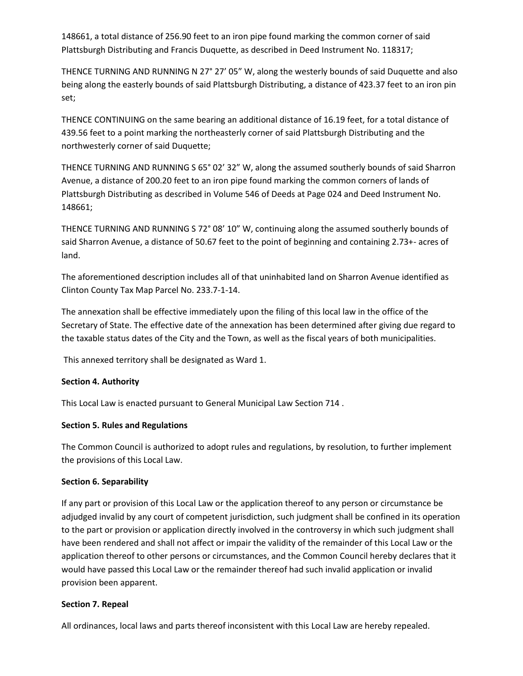148661, a total distance of 256.90 feet to an iron pipe found marking the common corner of said Plattsburgh Distributing and Francis Duquette, as described in Deed Instrument No. 118317;

THENCE TURNING AND RUNNING N 27° 27' 05" W, along the westerly bounds of said Duquette and also being along the easterly bounds of said Plattsburgh Distributing, a distance of 423.37 feet to an iron pin set;

THENCE CONTINUING on the same bearing an additional distance of 16.19 feet, for a total distance of 439.56 feet to a point marking the northeasterly corner of said Plattsburgh Distributing and the northwesterly corner of said Duquette;

THENCE TURNING AND RUNNING S 65° 02' 32" W, along the assumed southerly bounds of said Sharron Avenue, a distance of 200.20 feet to an iron pipe found marking the common corners of lands of Plattsburgh Distributing as described in Volume 546 of Deeds at Page 024 and Deed Instrument No. 148661;

THENCE TURNING AND RUNNING S 72° 08' 10" W, continuing along the assumed southerly bounds of said Sharron Avenue, a distance of 50.67 feet to the point of beginning and containing 2.73+- acres of land.

The aforementioned description includes all of that uninhabited land on Sharron Avenue identified as Clinton County Tax Map Parcel No. 233.7-1-14.

The annexation shall be effective immediately upon the filing of this local law in the office of the Secretary of State. The effective date of the annexation has been determined after giving due regard to the taxable status dates of the City and the Town, as well as the fiscal years of both municipalities.

This annexed territory shall be designated as Ward 1.

### **Section 4. Authority**

This Local Law is enacted pursuant to General Municipal Law Section 714 .

### **Section 5. Rules and Regulations**

The Common Council is authorized to adopt rules and regulations, by resolution, to further implement the provisions of this Local Law.

### **Section 6. Separability**

If any part or provision of this Local Law or the application thereof to any person or circumstance be adjudged invalid by any court of competent jurisdiction, such judgment shall be confined in its operation to the part or provision or application directly involved in the controversy in which such judgment shall have been rendered and shall not affect or impair the validity of the remainder of this Local Law or the application thereof to other persons or circumstances, and the Common Council hereby declares that it would have passed this Local Law or the remainder thereof had such invalid application or invalid provision been apparent.

### **Section 7. Repeal**

All ordinances, local laws and parts thereof inconsistent with this Local Law are hereby repealed.